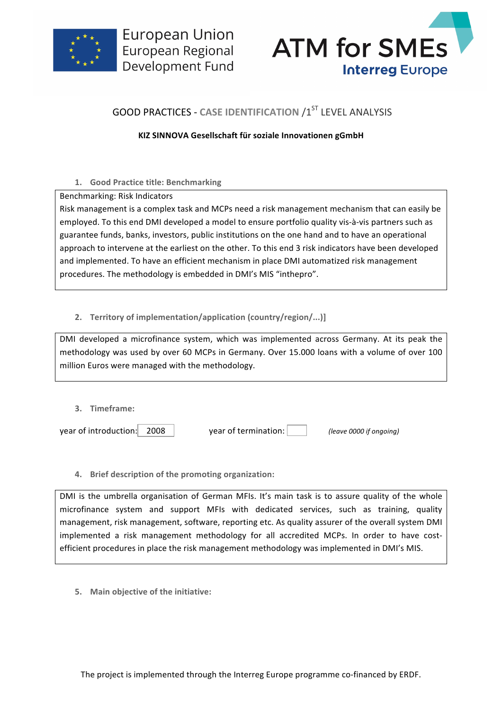



# **GOOD PRACTICES - CASE IDENTIFICATION /1ST LEVEL ANALYSIS**

## **KIZ SINNOVA Gesellschaft für soziale Innovationen gGmbH**

## 1. **Good Practice title: Benchmarking**

Benchmarking: Risk Indicators

Risk management is a complex task and MCPs need a risk management mechanism that can easily be employed. To this end DMI developed a model to ensure portfolio quality vis-à-vis partners such as guarantee funds, banks, investors, public institutions on the one hand and to have an operational approach to intervene at the earliest on the other. To this end 3 risk indicators have been developed and implemented. To have an efficient mechanism in place DMI automatized risk management procedures. The methodology is embedded in DMI's MIS "inthepro".

## 2. **Territory of implementation/application (country/region/...)]**

DMI developed a microfinance system, which was implemented across Germany. At its peak the methodology was used by over 60 MCPs in Germany. Over 15.000 loans with a volume of over 100 million Euros were managed with the methodology.

| 3. Timeframe:              |                      |                         |
|----------------------------|----------------------|-------------------------|
| year of introduction: 2008 | year of termination: | (leave 0000 if ongoing) |

## **4.** Brief description of the promoting organization:

DMI is the umbrella organisation of German MFIs. It's main task is to assure quality of the whole microfinance system and support MFIs with dedicated services, such as training, quality management, risk management, software, reporting etc. As quality assurer of the overall system DMI implemented a risk management methodology for all accredited MCPs. In order to have costefficient procedures in place the risk management methodology was implemented in DMI's MIS.

**5.** Main objective of the initiative: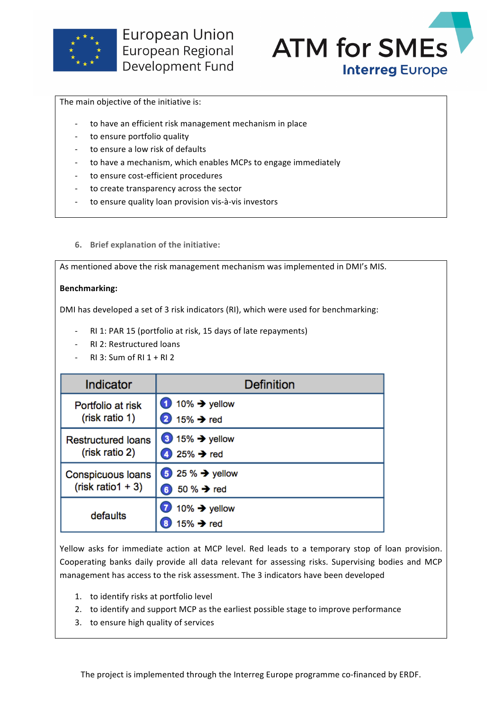



The main objective of the initiative is:

- to have an efficient risk management mechanism in place
- to ensure portfolio quality
- to ensure a low risk of defaults
- to have a mechanism, which enables MCPs to engage immediately
- to ensure cost-efficient procedures
- to create transparency across the sector
- to ensure quality loan provision vis-à-vis investors
- **6.** Brief explanation of the initiative:

As mentioned above the risk management mechanism was implemented in DMI's MIS.

#### **Benchmarking:**

DMI has developed a set of 3 risk indicators (RI), which were used for benchmarking:

- RI 1: PAR 15 (portfolio at risk, 15 days of late repayments)
- RI 2: Restructured loans
- $RI$  3: Sum of RI 1 + RI 2

| Indicator                                   | Definition                                                                  |
|---------------------------------------------|-----------------------------------------------------------------------------|
| Portfolio at risk<br>(risk ratio 1)         | $\bullet$ 10% $\rightarrow$ yellow<br>$\mathbf{2}$<br>15% $\rightarrow$ red |
| <b>Restructured loans</b><br>(risk ratio 2) | $315\%$ $\rightarrow$ yellow<br>4 25% $\rightarrow$ red                     |
| Conspicuous loans<br>$(risk ratio1 + 3)$    | $\bullet$ 25 % $\rightarrow$ yellow<br>50 % → red<br>6                      |
| defaults                                    | $10\%$ $\rightarrow$ yellow<br>15% $\rightarrow$ red<br>8                   |

Yellow asks for immediate action at MCP level. Red leads to a temporary stop of loan provision. Cooperating banks daily provide all data relevant for assessing risks. Supervising bodies and MCP management has access to the risk assessment. The 3 indicators have been developed

- 1. to identify risks at portfolio level
- 2. to identify and support MCP as the earliest possible stage to improve performance
- 3. to ensure high quality of services